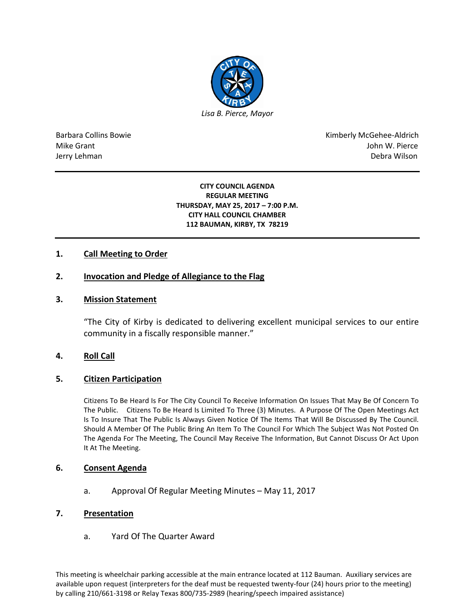

Barbara Collins Bowie **Kimberly McGehee-Aldrich** Mike Grant John W. Pierce Jerry Lehman Debra Wilson (2008) and the state of the state of the state of the state of the state of the state of the state of the state of the state of the state of the state of the state of the state of the state of the

#### **CITY COUNCIL AGENDA REGULAR MEETING THURSDAY, MAY 25, 2017 – 7:00 P.M. CITY HALL COUNCIL CHAMBER 112 BAUMAN, KIRBY, TX 78219**

# **1. Call Meeting to Order**

### **2. Invocation and Pledge of Allegiance to the Flag**

### **3. Mission Statement**

"The City of Kirby is dedicated to delivering excellent municipal services to our entire community in a fiscally responsible manner."

### **4. Roll Call**

### **5. Citizen Participation**

Citizens To Be Heard Is For The City Council To Receive Information On Issues That May Be Of Concern To The Public. Citizens To Be Heard Is Limited To Three (3) Minutes. A Purpose Of The Open Meetings Act Is To Insure That The Public Is Always Given Notice Of The Items That Will Be Discussed By The Council. Should A Member Of The Public Bring An Item To The Council For Which The Subject Was Not Posted On The Agenda For The Meeting, The Council May Receive The Information, But Cannot Discuss Or Act Upon It At The Meeting.

### **6. Consent Agenda**

a. Approval Of Regular Meeting Minutes – May 11, 2017

### **7. Presentation**

a. Yard Of The Quarter Award

This meeting is wheelchair parking accessible at the main entrance located at 112 Bauman. Auxiliary services are available upon request (interpreters for the deaf must be requested twenty-four (24) hours prior to the meeting) by calling 210/661-3198 or Relay Texas 800/735-2989 (hearing/speech impaired assistance)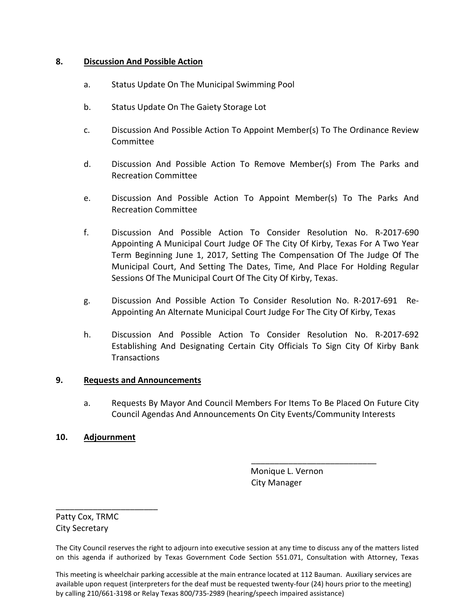# **8. Discussion And Possible Action**

- a. Status Update On The Municipal Swimming Pool
- b. Status Update On The Gaiety Storage Lot
- c. Discussion And Possible Action To Appoint Member(s) To The Ordinance Review Committee
- d. Discussion And Possible Action To Remove Member(s) From The Parks and Recreation Committee
- e. Discussion And Possible Action To Appoint Member(s) To The Parks And Recreation Committee
- f. Discussion And Possible Action To Consider Resolution No. R-2017-690 Appointing A Municipal Court Judge OF The City Of Kirby, Texas For A Two Year Term Beginning June 1, 2017, Setting The Compensation Of The Judge Of The Municipal Court, And Setting The Dates, Time, And Place For Holding Regular Sessions Of The Municipal Court Of The City Of Kirby, Texas.
- g. Discussion And Possible Action To Consider Resolution No. R-2017-691 Re-Appointing An Alternate Municipal Court Judge For The City Of Kirby, Texas
- h. Discussion And Possible Action To Consider Resolution No. R-2017-692 Establishing And Designating Certain City Officials To Sign City Of Kirby Bank **Transactions**

# **9. Requests and Announcements**

a. Requests By Mayor And Council Members For Items To Be Placed On Future City Council Agendas And Announcements On City Events/Community Interests

# **10. Adjournment**

 Monique L. Vernon City Manager

\_\_\_\_\_\_\_\_\_\_\_\_\_\_\_\_\_\_\_\_\_\_\_\_\_\_\_

Patty Cox, TRMC City Secretary

\_\_\_\_\_\_\_\_\_\_\_\_\_\_\_\_\_\_\_\_\_\_

This meeting is wheelchair parking accessible at the main entrance located at 112 Bauman. Auxiliary services are available upon request (interpreters for the deaf must be requested twenty-four (24) hours prior to the meeting) by calling 210/661-3198 or Relay Texas 800/735-2989 (hearing/speech impaired assistance)

The City Council reserves the right to adjourn into executive session at any time to discuss any of the matters listed on this agenda if authorized by Texas Government Code Section 551.071, Consultation with Attorney, Texas